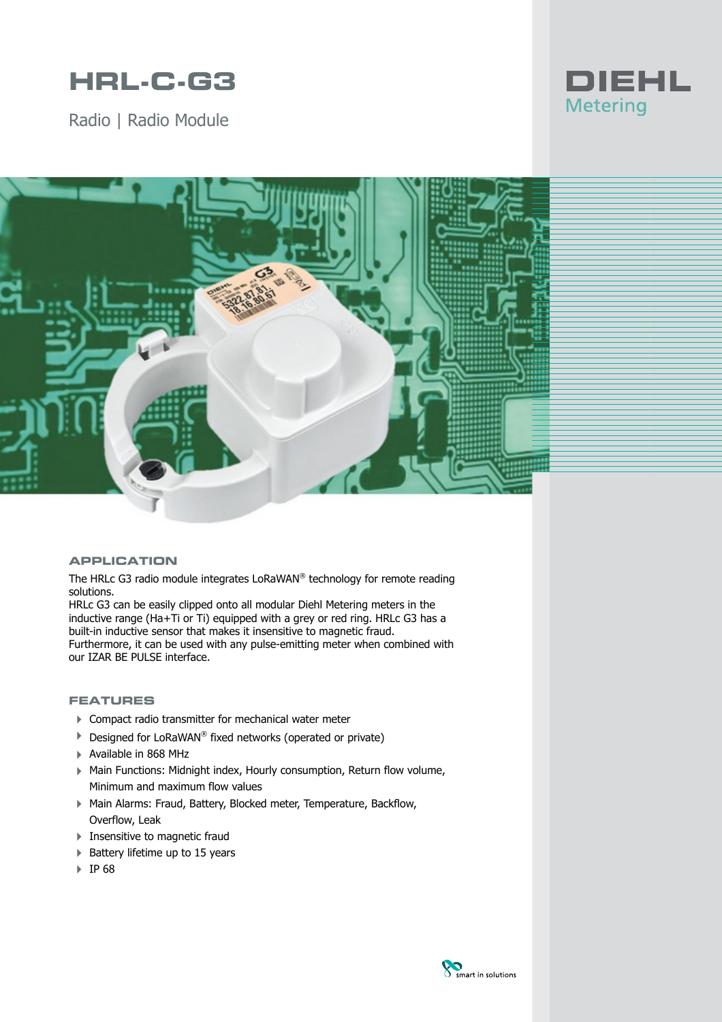# **HRL-C-G3**

Radio | Radio Module





### **APPLICATION**

The HRLc G3 radio module integrates LoRaWAN® technology for remote reading solutions.

HRLc G3 can be easily clipped onto all modular Diehl Metering meters in the inductive range (Ha+Ti or Ti) equipped with a grey or red ring. HRLc G3 has a built-in inductive sensor that makes it insensitive to magnetic fraud. Furthermore, it can be used with any pulse-emitting meter when combined with our IZAR BE PULSE interface.

### **FEATURES**

- ▶ Compact radio transmitter for mechanical water meter
- ▶ Designed for LoRaWAN® fixed networks (operated or private)
- 4 Available in 868 MHz
- ▶ Main Functions: Midnight index, Hourly consumption, Return flow volume, Minimum and maximum flow values
- 4 Main Alarms: Fraud, Battery, Blocked meter, Temperature, Backflow, Overflow, Leak
- **Insensitive to magnetic fraud**
- ▶ Battery lifetime up to 15 years
- 4 IP 68

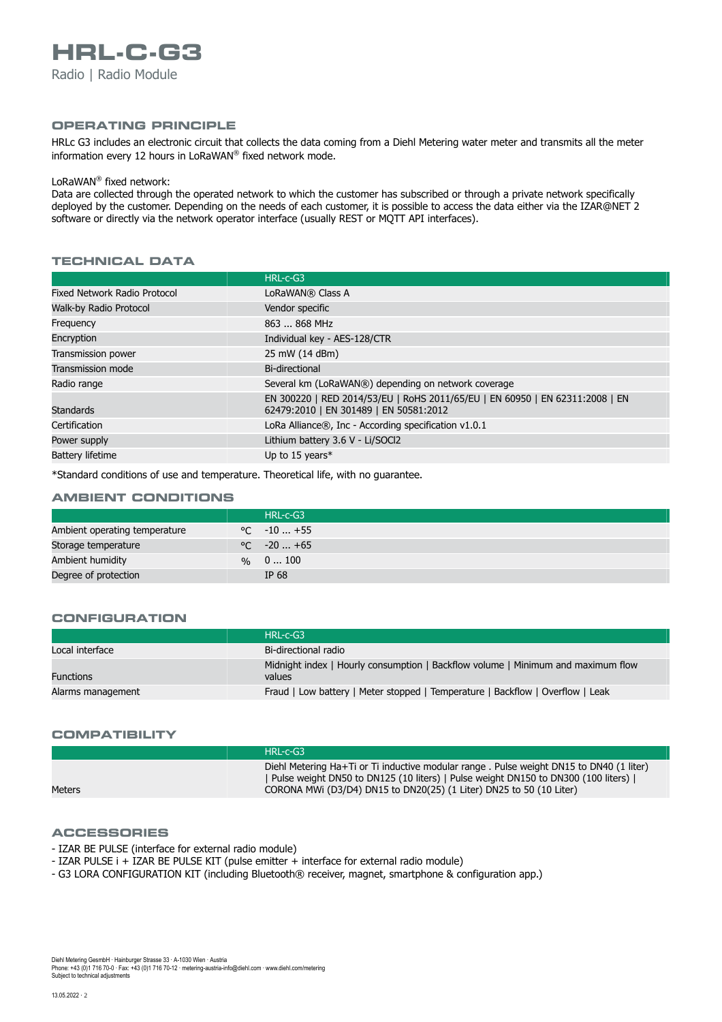#### **OPERATING PRINCIPLE**

HRLc G3 includes an electronic circuit that collects the data coming from a Diehl Metering water meter and transmits all the meter information every 12 hours in LoRaWAN ® fixed network mode.

#### LoRaWAN ® fixed network:

Data are collected through the operated network to which the customer has subscribed or through a private network specifically deployed by the customer. Depending on the needs of each customer, it is possible to access the data either via the IZAR@NET 2 software or directly via the network operator interface (usually REST or MQTT API interfaces).

## **TECHNICAL DATA**

|                                     | $HRL-c-G3$                                                                                                             |
|-------------------------------------|------------------------------------------------------------------------------------------------------------------------|
| <b>Fixed Network Radio Protocol</b> | LoRaWAN® Class A                                                                                                       |
| Walk-by Radio Protocol              | Vendor specific                                                                                                        |
| Frequency                           | 863  868 MHz                                                                                                           |
| Encryption                          | Individual key - AES-128/CTR                                                                                           |
| Transmission power                  | 25 mW (14 dBm)                                                                                                         |
| <b>Transmission mode</b>            | Bi-directional                                                                                                         |
| Radio range                         | Several km (LoRaWAN®) depending on network coverage                                                                    |
| <b>Standards</b>                    | EN 300220   RED 2014/53/EU   RoHS 2011/65/EU   EN 60950   EN 62311:2008   EN<br>62479:2010   EN 301489   EN 50581:2012 |
| Certification                       | LoRa Alliance®, Inc - According specification v1.0.1                                                                   |
| Power supply                        | Lithium battery 3.6 V - Li/SOCl2                                                                                       |
| <b>Battery lifetime</b>             | Up to 15 years*                                                                                                        |

\*Standard conditions of use and temperature. Theoretical life, with no guarantee.

#### **AMBIENT CONDITIONS**

|                               | HRL-c-G3             |
|-------------------------------|----------------------|
| Ambient operating temperature | $\degree$ C $-10+55$ |
| Storage temperature           | $\degree$ C $-20+65$ |
| Ambient humidity              | $\%$ 0  100          |
| Degree of protection          | IP $68$              |

#### **CONFIGURATION**

|                   | $HRL-c-G3$                                                                                 |
|-------------------|--------------------------------------------------------------------------------------------|
| Local interface   | Bi-directional radio                                                                       |
| <b>Functions</b>  | Midnight index   Hourly consumption   Backflow volume   Minimum and maximum flow<br>values |
| Alarms management | Fraud   Low battery   Meter stopped   Temperature   Backflow   Overflow   Leak             |

#### **COMPATIBILITY**

Meters

HRL-c-G3 Diehl Metering Ha+Ti or Ti inductive modular range . Pulse weight DN15 to DN40 (1 liter) | Pulse weight DN50 to DN125 (10 liters) | Pulse weight DN150 to DN300 (100 liters) | CORONA MWi (D3/D4) DN15 to DN20(25) (1 Liter) DN25 to 50 (10 Liter)

#### **ACCESSORIES**

- IZAR BE PULSE (interface for external radio module)
- IZAR PULSE i + IZAR BE PULSE KIT (pulse emitter + interface for external radio module)
- G3 LORA CONFIGURATION KIT (including Bluetooth® receiver, magnet, smartphone & configuration app.)

Subject to technical adjustments